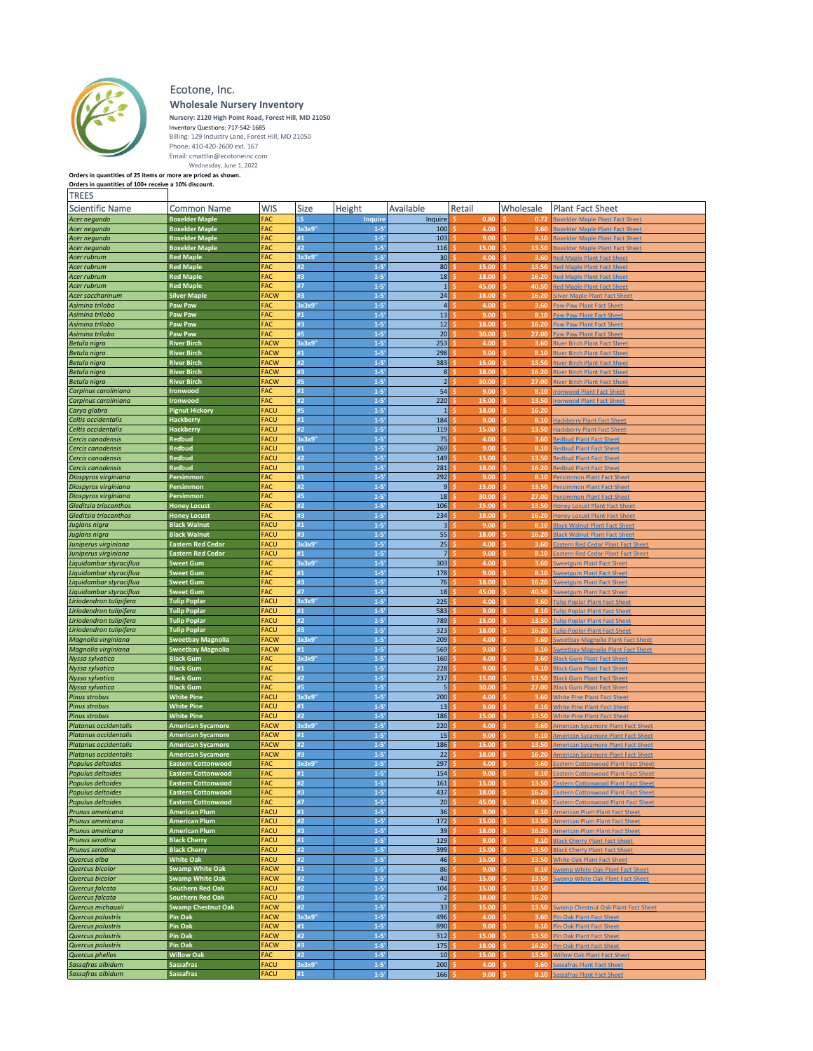

## Ecotone, Inc.

**Wholesale Nursery Inventory**

Nursery: 2120 High Point Road, Forest Hill, MD 21050<br>
Inventory Questions: 717-542-1685<br>
Billing: 129 Industry Lane, Forest Hill, MD 21050<br>
Phone: 410-420-2600 ext. 167<br>
Email: cmattlin@ecotoneinc.com<br>
Wednesday, June 1, 2

| <b>Scientific Name</b>                             | Common Name                                | <b>WIS</b>                 | Size         | Height               | Available               | Retail        | Wholesale     | <b>Plant Fact Sheet</b>                                                      |
|----------------------------------------------------|--------------------------------------------|----------------------------|--------------|----------------------|-------------------------|---------------|---------------|------------------------------------------------------------------------------|
| Acer negundo                                       | <b>Boxelder Maple</b>                      | <b>FAC</b>                 | LS           | Inquire              | Inquire                 | 0.80          | 0.72          | oxelder Maple Plant Fact Shee                                                |
| Acer negundo                                       | <b>Boxelder Maple</b>                      | FAC                        | 3x3x9'       | $1 - 5'$             | 100                     | 4.00          | 3.60          | oxelder Maple Plant Fact Sheet                                               |
| Acer nequndo                                       | <b>Boxelder Maple</b>                      | FAC                        | #1           | $1 - 5'$             | 103                     | 9.00          | 8.10          | Boxelder Maple Plant Fact Sheet                                              |
| Acer negundo                                       | <b>Boxelder Maple</b>                      | FAC                        | #2           | $1 - 5'$             | 116                     | 15.00         | 13.50         | loxelder Maple Plant Fact Sheet                                              |
| Acer rubrum                                        | <b>Red Maple</b>                           | FAC                        | 3x3x9'       | $1 - 5'$             | 30                      | 4.00          | 3.60          | <b>Red Maple Plant Fact Sheet</b>                                            |
| Acer rubrum                                        | <b>Red Maple</b>                           | FAC                        | #2           | $1 - 5'$             | 80                      | 15.00         | Ŕ<br>13.50    | ed Maple Plant Fact Sheet                                                    |
| Acer rubrum                                        | <b>Red Maple</b>                           | FAC                        | #3           | $1 - 5'$             | 18                      | 18.00         | 16.20         | ted Maple Plant Fact Sheet                                                   |
| Acer rubrum                                        | <b>Red Maple</b>                           | FAC                        | #7           | $1 - 5'$             | $\mathbf{1}$            | 45.00         | 40.50         | Red Maple Plant Fact Sheet                                                   |
| Acer saccharinum                                   | <b>Silver Maple</b>                        | <b>FACW</b>                | #3           | $1 - 5'$             | 24                      | 18.00         | 16.20         | ilver Maple Plant Fact Sheet                                                 |
| Asimina triloba                                    | Paw Paw                                    | FAC                        | 3x3x9'       | $1 - 5$<br>$1 - 5'$  | $\overline{a}$          | 4.00          | 3.60<br>¢     | Paw Paw Plant Fact Sheet                                                     |
| Asimina triloba                                    | Paw Paw<br>Paw Paw                         | FAC<br>FAC                 | #1<br>#3     | $1 - 5'$             | 13<br>12                | 9.00<br>18.00 | 8.10<br>16.20 | Paw Paw Plant Fact Sheet                                                     |
| Asimina triloba                                    | Paw Paw                                    | FAC                        | #5           | $1 - 5'$             | 20                      | 30.00         | 27.00         | Paw Paw Plant Fact Sheet                                                     |
| Asimina triloba                                    | <b>River Birch</b>                         | <b>FACW</b>                | 3x3x9'       | $1 - 5'$             | 253                     | 4.00          | 3.60          | Paw Paw Plant Fact Sheet<br>River Birch Plant Fact Sheet                     |
| <b>Betula nigra</b><br><b>Betula nigra</b>         | <b>River Birch</b>                         | <b>FACW</b>                | #1           | $1 - 5$              | 298                     | 9.00          | 8.10          | <b>iver Birch Plant Fact Sheet</b>                                           |
| Betula nigra                                       | <b>River Birch</b>                         | <b>FACW</b>                | #2           | $1 - 5'$             | 383                     | 15.00         | Ŕ<br>13.50    | <b>iver Birch Plant Fact Sheet</b>                                           |
| Betula nigra                                       | <b>River Birch</b>                         | <b>FACW</b>                | #3           | $1 - 5'$             | 8 <sup>1</sup>          | 18.00         | 16.20         | <b>River Birch Plant Fact Sheet</b>                                          |
| <b>Betula nigra</b>                                | <b>River Birch</b>                         | <b>FACW</b>                | #5           | $1 - 5'$             | 2 <sup>1</sup>          | 30.00         | 27.00         | River Birch Plant Fact Sheet                                                 |
| Carpinus caroliniana                               | <b>Ironwood</b>                            | <b>FAC</b>                 | #1           | $1 - 5'$             | 54                      | 9.00          | 8.10          | ronwood Plant Fact Sheet                                                     |
| Carpinus caroliniana                               | Ironwood                                   | FAC                        | #2           | $1 - 5'$             | 220                     | 15.00         | 13.50         | onwood Plant Fact Sheet                                                      |
| Carya glabra                                       | <b>Pignut Hickory</b>                      | <b>FACU</b>                | #5           | $1 - 5'$             | $\mathbf{1}$            | 18.00         | 16.20<br>×.   |                                                                              |
| Celtis occidentalis                                | <b>Hackberry</b>                           | <b>FACU</b>                | #1           | $1 - 5'$             | 184                     | 9.00          | 8.10          | lackberry Plant Fact Sheet                                                   |
| Celtis occidentalis                                | <b>Hackberry</b>                           | FACU                       | #2           | $1 - 5'$             | 119                     | 15.00         | 13.50         | Hackberry Plant Fact Sheet                                                   |
| Cercis canadensis                                  | <b>Redbud</b>                              | <b>FACU</b>                | 3x3x9'       | $1 - 5'$             | 75                      | 4.00          | 3.60          | Redbud Plant Fact Sheet                                                      |
| Cercis canadensis                                  | Redbud                                     | FACU                       | #1           | $1 - 5'$             | 269                     | 9.00          | 8.10          | edbud Plant Fact Sheet                                                       |
| Cercis canadensis                                  | Redbud                                     | <b>FACU</b>                | #2           | $1 - 5'$             | 149                     | 15.00         | 13.50         | edbud Plant Fact Sheet                                                       |
| Cercis canadensis                                  | Redbud                                     | FACU                       | #3           | $1 - 5'$             | 281                     | 18.00         | 16.20         | edbud Plant Fact Sheet                                                       |
| Diospyros virginiana                               | Persimmon                                  | FAC                        | #1           | $1 - 5'$             | 292                     | 9.00          | 8.10          | Persimmon Plant Fact Sheet                                                   |
| Diospyros virginiana                               | Persimmon                                  | FAC                        | #2           | $1 - 5'$             | 9                       | 15.00         | 13.50         | Persimmon Plant Fact Sheet                                                   |
| Diospyros virginiana                               | Persimmon                                  | FAC                        | #5           | $1 - 5'$             | 18                      | 30.00         | 27.00         | Persimmon Plant Fact Sheet                                                   |
| Gleditsia triacanthos                              | <b>Honey Locust</b>                        | FAC                        | #2           | $1 - 5'$             | 106                     | 15.00         | 13.50         | oney Locust Plant Fact Sheet                                                 |
| Gleditsia triacanthos                              | <b>Honey Locust</b>                        | FAC                        | #3           | $1 - 5'$             | 234                     | 18.00         | 16.20         | <b>Ioney Locust Plant Fact Sheet</b>                                         |
| Juglans nigra                                      | <b>Black Walnut</b>                        | FACU                       | #1           | $1 - 5'$             | $\overline{\mathbf{3}}$ | 9.00          | 8.10          | <b>Black Walnut Plant Fact Sheet</b>                                         |
| Juglans nigra                                      | <b>Black Walnut</b>                        | <b>FACU</b>                | #3           | $1 - 5'$             | 55                      | 18.00         | 16.20         | <b>Black Walnut Plant Fact Sheet</b>                                         |
| Juniperus virginiana                               | <b>Eastern Red Cedar</b>                   | FACU                       | 3x3x9'       | $1 - 5$              | 25                      | 4.00          | 3.60          | Eastern Red Cedar Plant Fact Sheet                                           |
| Juniperus virginiana                               | <b>Eastern Red Cedar</b>                   | <b>FACU</b>                | #1           | $1 - 5'$             | $\overline{7}$          | 9.00          | 8.10          | Eastern Red Cedar Plant Fact Sheet                                           |
| Liquidambar styraciflua                            | <b>Sweet Gum</b>                           | FAC                        | 3x3x9'       | $1 - 5'$             | 303                     | 4.00          | 3.60          | weetgum Plant Fact Sheet                                                     |
| Liquidambar styraciflua                            | <b>Sweet Gum</b>                           | FAC                        | #1           | $1 - 5'$             | 178                     | 9.00          | 8.10          | Sweetgum Plant Fact Sheet                                                    |
| Liquidambar styraciflua                            | <b>Sweet Gum</b>                           | FAC                        | #3           | $1 - 5'$             | 76                      | 18.00         | 16.20         | weetgum Plant Fact Sheet                                                     |
| Liquidambar styraciflua                            | <b>Sweet Gum</b>                           | FAC                        | #7<br>3x3x9' | $1 - 5$<br>$1 - 5'$  | 18                      | 45.00         | 40.50<br>K.   | weetgum Plant Fact Sheet                                                     |
| Liriodendron tulipifera                            | <b>Tulip Poplar</b><br><b>Tulip Poplar</b> | <b>FACU</b><br><b>FACU</b> | #1           | $1 - 5'$             | 225<br>583              | 4.00<br>9.00  | 3.60<br>8.10  | <b>Tulip Poplar Plant Fact Sheet</b>                                         |
| Liriodendron tulipifera<br>Liriodendron tulipifera | <b>Tulip Poplar</b>                        | <b>FACU</b>                | #2           | $1 - 5'$             | 789                     | 15.00         | 13.50         | <b>Tulip Poplar Plant Fact Sheet</b><br><b>Tulip Poplar Plant Fact Sheet</b> |
| Liriodendron tulipifera                            | <b>Tulip Poplar</b>                        | <b>FACU</b>                | #3           | $1 - 5'$             | 323                     | 18.00         | 16.20         |                                                                              |
| Magnolia virginiana                                | <b>Sweetbay Magnolia</b>                   | <b>FACW</b>                | 3x3x9'       | $1 - 5'$             | 209                     | 4.00          | 3.60          | <b>Fulip Poplar Plant Fact Sheet</b><br>weetbay Magnolia Plant Fact Sheet    |
| Magnolia virginiana                                | <b>Sweetbay Magnolia</b>                   | <b>FACW</b>                | #1           | $1 - 5'$             | 569                     | 9.00          | 8.10<br>¢.    | weetbay Magnolia Plant Fact Sheet                                            |
| Nyssa sylvatica                                    | <b>Black Gum</b>                           | FAC                        | 3x3x9"       | $1 - 5'$             | 160                     | 4.00          | 3.60          | <b>Black Gum Plant Fact Sheet</b>                                            |
| Nyssa sylvatica                                    | <b>Black Gum</b>                           | FAC                        | #1           | $1 - 5'$             | 228                     | 9.00          | 8.10          | <b>Black Gum Plant Fact Sheet</b>                                            |
| Nyssa sylvatica                                    | <b>Black Gum</b>                           | FAC                        | #2           | $1 - 5'$             | 237                     | 15.00         | 13.50         | <b>Black Gum Plant Fact Sheet</b>                                            |
| Nyssa sylvatica                                    | <b>Black Gum</b>                           | FAC                        | #5           | $1 - 5'$             | 5                       | 30.00         | 27.00         | <b>lack Gum Plant Fact Sheet</b>                                             |
| <b>Pinus strobus</b>                               | <b>White Pine</b>                          | <b>FACU</b>                | 3x3x9'       | $1 - 5'$             | 200                     | 4.00          | 3.60<br>×.    | <b>White Pine Plant Fact Sheet</b>                                           |
| <b>Pinus strobus</b>                               | <b>White Pine</b>                          | <b>FACU</b>                | #1           | $1 - 5'$             | 13                      | 9.00          | 8.10          | <b>White Pine Plant Fact Sheet</b>                                           |
| <b>Pinus strobus</b>                               | <b>White Pine</b>                          | <b>FACU</b>                | #2           | $1 - 5'$             | 186                     | 15.00         | 13.50         | <b>White Pine Plant Fact Sheet</b>                                           |
| Platanus occidentalis                              | <b>American Sycamore</b>                   | <b>FACW</b>                | 3x3x9'       | $1 - 5'$             | 220                     | 4.00          | 3.60          | <b>Imerican Sycamore Plant Fact Sheet</b>                                    |
| Platanus occidentalis                              | <b>American Sycamore</b>                   | <b>FACW</b>                | #1           | $1 - 5'$             | 15                      | 9.00          | 8.10          | <b>Imerican Sycamore Plant Fact Sheet</b>                                    |
| Platanus occidentalis                              | <b>American Sycamore</b>                   | <b>FACW</b>                | #2           | $1 - 5'$             | 186                     | 15.00         | 13.50         | <b>Imerican Sycamore Plant Fact Sheet</b>                                    |
| Platanus occidentalis                              | <b>American Sycamore</b>                   | <b>FACW</b>                | #3           | $1 - 5'$             | 22                      | 18.00         | 16.20         | <b>American Sycamore Plant Fact Sheet</b>                                    |
| Populus deltoides                                  | Eastern Cottonwood                         | FAC                        | 3x3x9'       | $1 - 5'$             | 297                     | 4.00          | 3.60          | <b>Eastern Cottonwood Plant Fact Sheet</b>                                   |
| Populus deltoides                                  | <b>Eastern Cottonwood</b>                  | FAC                        | #1           | $1 - 5'$             | 154                     | 9.00          | 8.10          | <b>Lastern Cottonwood Plant Fact Sheet</b>                                   |
| Populus deltoides                                  | Eastern Cottonwood                         | FAC                        | #2           | $1 - 5$              | 161                     | 15.00         | 13.50         | <b>Eastern Cottonwood Plant Fact Sheet</b>                                   |
| Populus deltoides                                  | <b>Eastern Cottonwood</b>                  | FAC                        | #3           | $1 - 5'$             | 437                     | 18.00         | 16.20         | <b>Eastern Cottonwood Plant Fact Sheet</b>                                   |
| Populus deltoides                                  | <b>Eastern Cottonwood</b>                  | FAC                        | #7           | $1 - 5'$             | 20                      | 45.00         | 40.50         | <b>Eastern Cottonwood Plant Fact Sheet</b>                                   |
| Prunus americana                                   | <b>American Plum</b>                       | <b>FACU</b>                | #1           | $1 - 5'$             | 36                      | 9.00          | 8.10          | <b>American Plum Plant Fact Sheet</b>                                        |
| Prunus americana                                   | <b>American Plum</b>                       | <b>FACU</b>                | #2           | $1 - 5'$             | 172                     | 15.00         | 13.50         | American Plum Plant Fact Sheet                                               |
| Prunus americana                                   | <b>American Plum</b>                       | <b>FACU</b>                | #3           | $1 - 5'$             | 39                      | 18.00         | 16.20         | American Plum Plant Fact Sheet                                               |
| Prunus serotina                                    | <b>Black Cherry</b>                        | <b>FACU</b>                | #1           | $1 - 5'$             | 129                     | 9.00          | Ŝ.<br>8.10    | <b>Black Cherry Plant Fact Sheet</b>                                         |
| Prunus serotina                                    | <b>Black Cherry</b>                        | <b>FACU</b>                | #2           | $1 - 5'$             | 399                     | 15.00         | 13.50         | <b>Black Cherry Plant Fact Sheet</b>                                         |
| Quercus alba                                       | <b>White Oak</b>                           | <b>FACU</b>                | #2           | $1 - 5'$             | 46                      | 15.00         | 13.50         | <b>White Oak Plant Fact Sheet</b>                                            |
| Quercus bicolor                                    | <b>Swamp White Oak</b>                     | <b>FACW</b>                | #1           | $1 - 5'$             | 86                      | 9.00          | 8.10          | wamp White Oak Plant Fact Sheet                                              |
| Quercus bicolor                                    | <b>Swamp White Oak</b>                     | <b>FACW</b>                | #2           | $1 - 5'$             | 40                      | 15.00         | 13.50         | wamp White Oak Plant Fact Sheet                                              |
| Quercus falcata                                    | <b>Southern Red Oak</b>                    | <b>FACU</b>                | #2           | $1 - 5'$             | 104                     | 15.00         | -¢<br>13.50   |                                                                              |
| Quercus falcata                                    | <b>Southern Red Oak</b>                    | <b>FACU</b>                | #3           | $1 - 5'$             | $\overline{2}$          | 18.00         | 16.20         |                                                                              |
| Quercus michauxii                                  | <b>Swamp Chestnut Oak</b>                  | <b>FACW</b><br><b>FACW</b> | #2<br>3x3x9' | $1 - 5'$             | 33                      | 15.00         | 13.50         | <b>Swamp Chestnut Oak Plant Fact Sheet</b>                                   |
| Quercus palustris<br>Quercus palustris             | Pin Oak<br>Pin Oak                         | <b>FACW</b>                | #1           | $1 - 5'$<br>$1 - 5'$ | 496<br>890              | 4.00<br>9.00  | 3.60<br>8.10  | Pin Oak Plant Fact Sheet                                                     |
| Quercus palustris                                  | Pin Oak                                    | <b>FACW</b>                | #2           | $1 - 5'$             | 312                     | 15.00         | -¢<br>13.50   | <b>Pin Oak Plant Fact Sheet</b><br><b>Pin Oak Plant Fact Sheet</b>           |
| Quercus palustris                                  | Pin Oak                                    | <b>FACW</b>                | #3           | $1 - 5'$             | 175                     | 18.00         | 16.20         | Pin Oak Plant Fact Sheet                                                     |
| Quercus phellos                                    | <b>Willow Oak</b>                          | <b>FAC</b>                 | #2           | $1-5'$               | 10 <sup>1</sup>         | 15.00         | 13.50         | <b>Willow Oak Plant Fact Sheet</b>                                           |
| Sassafras albidum                                  | <b>Sassafras</b>                           | <b>FACU</b>                | 3x3x9'       | $1 - 5'$             | 200                     | 4.00          | 3.60          | <b>Sassafras Plant Fact Sheet</b>                                            |
| Sassafras albidum                                  | <b>Sassafras</b>                           | <b>FACU</b>                | #1           | $1 - 5'$             | 166                     | 9.00          |               | 8.10 Sassafras Plant Fact Sheet                                              |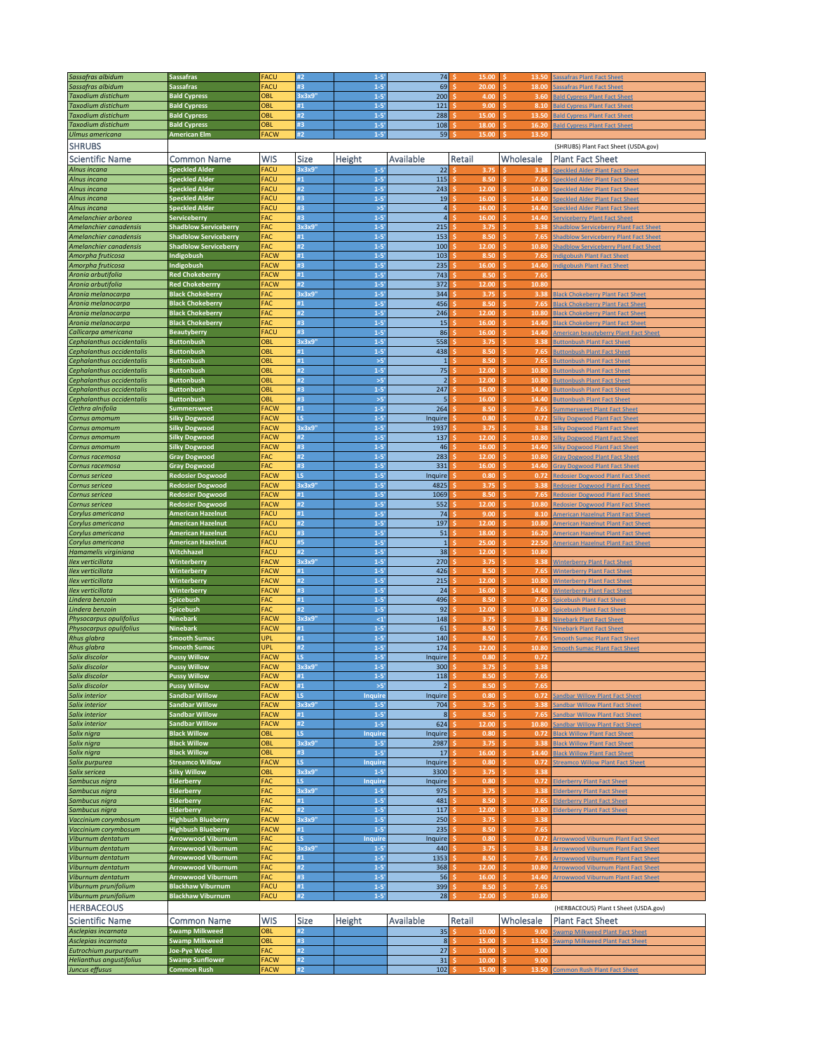| Sassafras albidum         | <b>Sassafras</b>                                     | <b>FACU</b>         | #2          | $1 - 5'$             | 74             | 15.00         | 13.50      | <b>Sassafras Plant Fact Sheet</b>                                                              |
|---------------------------|------------------------------------------------------|---------------------|-------------|----------------------|----------------|---------------|------------|------------------------------------------------------------------------------------------------|
| Sassafras albidum         | <b>Sassafras</b>                                     | FACU                | #3          | $1 - 5'$             | 69             | 20.00         | 18.00      | Sassafras Plant Fact Sheet                                                                     |
| <b>Taxodium distichum</b> | <b>Bald Cypress</b>                                  | OBL                 | 3x3x9       | $1 - 5'$             | 200            | 4.00          | 3.60       | <b>Bald Cypress Plant Fact Shee</b>                                                            |
| Taxodium distichum        | <b>Bald Cypress</b>                                  | OBL                 | #1          | $1 - 5'$             | 121            | 9.00          | 8.10       | <b>Bald Cypress Plant Fact Sheet</b>                                                           |
| <b>Taxodium distichum</b> | <b>Bald Cypress</b>                                  | OBL                 | #2          | $1 - 5'$             | 288            | 15.00         | 13.50      | <b>Bald Cypress Plant Fact Sheet</b>                                                           |
| <b>Taxodium distichum</b> | <b>Bald Cypress</b>                                  | OBL                 | #3          | $1 - 5'$             | 108            | 18.00         | 16.20      |                                                                                                |
|                           |                                                      |                     | #2          |                      |                |               |            | <b>Bald Cypress Plant Fact Sheet</b>                                                           |
| Ulmus americana           | <b>American Elm</b>                                  | <b>FACW</b>         |             | $1 - 5'$             | 59             | 15.00         | 13.50      |                                                                                                |
| <b>SHRUBS</b>             |                                                      |                     |             |                      |                |               |            | (SHRUBS) Plant Fact Sheet (USDA.gov)                                                           |
| <b>Scientific Name</b>    | Common Name                                          | <b>WIS</b>          | <b>Size</b> | Height               | Available      | Retail        | Wholesale  | <b>Plant Fact Sheet</b>                                                                        |
| Alnus incana              | <b>Speckled Alder</b>                                | FACU                | 3x3x9'      | $1 - 5'$             | 22             | 3.75          | 3.38       | <b>Speckled Alder Plant Fact Sheet</b>                                                         |
| Alnus incana              | <b>Speckled Alder</b>                                | <b>FACU</b>         | #1          | $1 - 5'$             | 115            | 8.50          | 7.65       | Speckled Alder Plant Fact Sheet                                                                |
| Alnus incana              | <b>Speckled Alder</b>                                | FACU                | #2          | $1 - 5'$             | 243            | 12.00         | 10.80      | <b>Speckled Alder Plant Fact Sheet</b>                                                         |
| Alnus incana              | <b>Speckled Alder</b>                                | <b>FACU</b>         | #3          | $1 - 5'$             | 19             | 16.00         | 14.40<br>Ś | Speckled Alder Plant Fact Sheet                                                                |
| Alnus incana              | <b>Speckled Alder</b>                                | FACU                | #3          | >5'                  | $\sqrt{4}$     | 16.00         | 14.40      | Speckled Alder Plant Fact Sheet                                                                |
| Amelanchier arborea       | Serviceberry                                         | FAC                 | #3          | $1 - 5'$             | $\overline{4}$ | 16.00         | 14.40      |                                                                                                |
| Amelanchier canadensis    | <b>Shadblow Serviceberry</b>                         | FAC                 | 3x3x9       | $1 - 5'$             | 215            | 3.75          | 3.38       | <b>Serviceberry Plant Fact Sheet</b>                                                           |
|                           |                                                      | FAC                 | #1          | $1 - 5'$             |                |               |            | <b>Shadblow Serviceberry Plant Fact Sheet</b>                                                  |
| Amelanchier canadensis    | <b>Shadblow Serviceberry</b>                         |                     |             |                      | 153            | 8.50          | 7.65       | <b>Shadblow Serviceberry Plant Fact Sheet</b><br><b>Shadblow Serviceberry Plant Fact Sheet</b> |
| Amelanchier canadensis    | <b>Shadblow Serviceberry</b>                         | <b>FAC</b>          | #2          | $1 - 5'$             | 100            | 12.00         | 10.80<br>Ś |                                                                                                |
| Amorpha fruticosa         | Indigobush                                           | <b>FACW</b>         | #1          | $1 - 5'$             | 103            | 8.50          | 7.65       | ndigobush Plant Fact Sheet                                                                     |
| Amorpha fruticosa         | Indigobush                                           | <b>FACW</b>         | #3          | $1 - 5'$             | 235            | 16.00         | 14.40      | <b>Indigobush Plant Fact Sheet</b>                                                             |
| Aronia arbutifolia        | <b>Red Chokeberrry</b>                               | <b>FACW</b>         | #1          | $1 - 5'$             | 743            | 8.50          | 7.65       |                                                                                                |
| Aronia arbutifolia        | <b>Red Chokeberrry</b>                               | <b>FACW</b>         | #2          | $1 - 5'$             | 372            | 12.00         | 10.80      |                                                                                                |
| Aronia melanocarpa        | <b>Black Chokeberry</b>                              | FAC                 | 3x3x9'      | $1 - 5'$             | 344            | 3.75          | 3.38<br>S  | <b>Black Chokeberry Plant Fact Sheet</b>                                                       |
| Aronia melanocarpa        | <b>Black Chokeberry</b>                              | FAC                 | #1          | $1 - 5'$             | 456            | 8.50          | 7.65       | <b>Black Chokeberry Plant Fact Sheet</b>                                                       |
| Aronia melanocarpa        | <b>Black Chokeberry</b>                              | FAC                 | #2          | $1 - 5'$             | 246            | 12.00         | 10.80      | <b>Black Chokeberry Plant Fact Sheet</b>                                                       |
| Aronia melanocarpa        | <b>Black Chokeberry</b>                              | FAC                 | #3          | $1 - 5'$             | 15             | 16.00         | 14.40      | <b>Black Chokeberry Plant Fact Sheet</b>                                                       |
| Callicarpa americana      | <b>Beautyberry</b>                                   | <b>FACL</b>         | #3          | $1 - 5'$             | 86             | 16.00         | 14.40      | <b>American beautyberry Plant Fact Sheet</b>                                                   |
| Cephalanthus occidentalis | <b>Buttonbush</b>                                    | OBL                 | 3x3x9'      | $1 - 5'$             | 558            | 3.75          | 3.38       | <b>Buttonbush Plant Fact Sheet</b>                                                             |
| Cephalanthus occidentalis | <b>Buttonbush</b>                                    | OBL                 | #1          | $1 - 5'$             | 438            | 8.50          | 7.65       | <b>Buttonbush Plant Fact Sheet</b>                                                             |
| Cephalanthus occidentalis | <b>Buttonbush</b>                                    | OBL                 | #1          | $>5'$                | $\mathbf 1$    | 8.50          | 7.65       | <b>Buttonbush Plant Fact Sheet</b>                                                             |
| Cephalanthus occidentalis | <b>Buttonbush</b>                                    | OBL                 | #2          | $1 - 5'$             | 75             | 12.00         | 10.80      | <b>Buttonbush Plant Fact Sheet</b>                                                             |
| Cephalanthus occidentalis | <b>Buttonbush</b>                                    | OBL                 | #2          | $>5'$                | $\overline{2}$ | 12.00         | 10.80      | <b>Buttonbush Plant Fact Sheet</b>                                                             |
| Cephalanthus occidentalis | <b>Buttonbush</b>                                    | OBL                 | #3          | $1 - 5'$             | 247            | 16.00         | 14.40      | <b>Buttonbush Plant Fact Sheet</b>                                                             |
| Cephalanthus occidentalis | <b>Buttonbush</b>                                    | OBL                 | #3          | >5                   | 5              | 16.00         | 14.40      | <b>Buttonbush Plant Fact Sheet</b>                                                             |
| Clethra alnifolia         | <b>Summersweet</b>                                   | <b>FACW</b>         | #1          | $1 - 5'$             | 264            | 8.50          | 7.65       | <b>Summersweet Plant Fact Sheet</b>                                                            |
| Cornus amomum             | <b>Silky Dogwood</b>                                 | <b>FACW</b>         | īs.         | $1 - 5'$             | Inquire        | 0.80          | 0.72       | <b>ilky Dogwood Plant Fact Shee</b>                                                            |
| Cornus amomum             | <b>Silky Dogwood</b>                                 | <b>FACW</b>         | 3x3x9'      | $1 - 5'$             | 1937           | 3.75          | 3.38       | <b>Silky Dogwood Plant Fact Sheet</b>                                                          |
| Cornus amomum             | <b>Silky Dogwood</b>                                 | <b>FACW</b>         | #2          | $1 - 5'$             | 137            | 12.00         | 10.80      | <b>Silky Dogwood Plant Fact Sheet</b>                                                          |
| Cornus amomum             | <b>Silky Dogwood</b>                                 | <b>FACW</b>         | #3          | $1 - 5'$             | 46             | 16.00         | 14.40      | <b>Silky Dogwood Plant Fact Sheet</b>                                                          |
| Cornus racemosa           | <b>Gray Dogwood</b>                                  | FAC                 | #2          | $1 - 5'$             | 283            | 12.00         | 10.80      | <b>Gray Dogwood Plant Fact Sheet</b>                                                           |
| Cornus racemosa           | <b>Gray Dogwood</b>                                  | FAC                 | #3          | $1 - 5'$             | 331            | 16.00         | 14.40      | <b>Sray Dogwood Plant Fact Shee</b>                                                            |
| Cornus sericea            | <b>Redosier Dogwood</b>                              | <b>FACW</b>         | ĹŚ          | $1 - 5'$             | Inquire        | 0.80          | 0.72       | <b>Redosier Dogwood Plant Fact Sheet</b>                                                       |
| Cornus sericea            | <b>Redosier Dogwood</b>                              | <b>FACW</b>         | 3x3x9'      | $1 - 5'$             | 4825           | 3.75          | 3.38       | <b>Redosier Dogwood Plant Fact Sheet</b>                                                       |
| Cornus sericea            | <b>Redosier Dogwood</b>                              | <b>FACW</b>         | #1          | $1 - 5'$             | 1069           | 8.50          | 7.65       | <b>Redosier Dogwood Plant Fact Sheet</b>                                                       |
| Cornus sericea            | <b>Redosier Dogwood</b>                              | <b>FACW</b>         | #2          | $1 - 5'$             | 552            | 12.00         | 10.80      | <b>Redosier Dogwood Plant Fact Sheet</b>                                                       |
| Corylus americana         | <b>American Hazelnut</b>                             | FACU                | #1          | $1 - 5'$             | 74             | 9.00          | 8.10       | <b>Imerican Hazelnut Plant Fact Shee</b>                                                       |
|                           | <b>American Hazelnut</b>                             | FACU                | #2          | $1 - 5'$             | 197            | 12.00         | 10.80      | <b>American Hazelnut Plant Fact Sheet</b>                                                      |
| Corylus americana         |                                                      | <b>FACU</b>         | #3          | $1 - 5'$             | 51             | 18.00         | 16.20      | American Hazelnut Plant Fact Sheet                                                             |
| Corylus americana         | <b>American Hazelnut</b>                             | FACU                | #5          | $1 - 5'$             | $\mathbf 1$    | 25.00         | 22.50      |                                                                                                |
| Corylus americana         | <b>American Hazelnut</b>                             | FACU                | #2          |                      |                |               |            | <b>American Hazelnut Plant Fact Sheet</b>                                                      |
| Hamamelis virginiana      | Witchhazel                                           |                     |             | $1 - 5'$             | 38             | 12.00         | 10.80      |                                                                                                |
| Ilex verticillata         | Winterberry                                          | <b>FACW</b>         | 3x3x9'      | $1 - 5'$             | 270            | 3.75          | 3.38       | <b>Winterberry Plant Fact Shee</b>                                                             |
| Ilex verticillata         | Winterberry                                          | <b>FACW</b>         | #1          | $1 - 5'$             | 426            | 8.50          | 7.65       | <b>Winterberry Plant Fact Sheet</b>                                                            |
| Ilex verticillata         | Winterberry                                          | <b>FACW</b>         | #2          | $1 - 5'$             | 215            | 12.00         | 10.80<br>Ś | <b>Winterberry Plant Fact Sheet</b>                                                            |
| Ilex verticillata         | Winterberry                                          | <b>FACW</b>         | #3          | $1 - 5'$             | 24             | 16.00         | 14.40      | <b>Winterberry Plant Fact Sheet</b>                                                            |
| Lindera benzoin           | Spicebush                                            | FAC                 | #1          | $1 - 5'$             | 496            | 8.50          | 7.65       | <b>Spicebush Plant Fact Sheet</b>                                                              |
| Lindera benzoin           | Spicebush                                            | FAC                 | #2          | $1 - 5'$             | 92             | 12.00         | 10.80      | picebush Plant Fact Sheet                                                                      |
| Physocarpus opulifolius   | <b>Ninebark</b>                                      | <b>FACW</b>         | 3x3x9'      | $\leq 1$             | 148            | 3.75          | 3.38       | <b>Ninebark Plant Fact Sheet</b>                                                               |
| Physocarpus opulifolius   | <b>Ninebark</b>                                      | <b>FACW</b>         | #1          | $1 - 5'$             | 61             | 8.50          | 7.65<br>Ś  | <b>Ninebark Plant Fact Sheet</b>                                                               |
| Rhus glabra               | <b>Smooth Sumac</b>                                  | UPL                 | #1          | $1 - 5'$             | 140            | 8.50          | 7.65       | <b>Imooth Sumac Plant Fact Sheet</b>                                                           |
| Rhus glabra               | <b>Smooth Sumac</b>                                  | UPL                 | #2          | $1 - 5'$             | 174            | 12.00         | 10.80      | <b>Smooth Sumac Plant Fact Sheet</b>                                                           |
| Salix discolor            | <b>Pussy Willow</b>                                  | <b>FACW</b>         | ĹŚ          | $1 - 5'$             | Inquire        | 0.80          | 0.72       |                                                                                                |
| Salıx discolor            | Pussy Willow                                         | FACW                | 3x3x9       | 1-5                  | 300            |               |            |                                                                                                |
| Salix discolor            | <b>Pussy Willow</b>                                  | <b>FACW</b>         | #1          | $1 - 5'$             | 118            | 8.50          | Ś.<br>7.65 |                                                                                                |
| Salix discolor            | <b>Pussy Willow</b>                                  | <b>FACW</b>         | #1          | $>5'$                | $\overline{2}$ | 8.50          | 7.65       |                                                                                                |
| Salix interior            | <b>Sandbar Willow</b>                                | <b>FACW</b>         | LS.         | Inquire              | Inquire        | 0.80          | 0.72       | Sandbar Willow Plant Fact Sheet                                                                |
| Salix interior            | <b>Sandbar Willow</b>                                | <b>FACW</b>         | 3x3x9'      | $1 - 5'$             | 704            | 3.75          | 3.38       | andbar Willow Plant Fact Shee                                                                  |
| Salix interior            | <b>Sandbar Willow</b>                                | FACW                | #1          | $1 - 5'$             | 8              | 8.50          | 7.65       | <b>Sandbar Willow Plant Fact Sheet</b>                                                         |
| Salix interior            | <b>Sandbar Willow</b>                                | <b>FACW</b>         | #2          | $1 - 5'$             | 624            | 12.00         | 10.80      | <b>Sandbar Willow Plant Fact Sheet</b>                                                         |
| Salix nigra               | <b>Black Willow</b>                                  | OBL                 | LS.         | <b>Inquire</b>       | Inquire        | 0.80          | 0.72       | <b>Black Willow Plant Fact Sheet</b>                                                           |
| Salix nigra               | <b>Black Willow</b>                                  | OBL                 | 3x3x9'      | $1 - 5'$             | 2987           | 3.75          | 3.38       | <b>Black Willow Plant Fact Sheet</b>                                                           |
| Salix nigra               | <b>Black Willow</b>                                  | OBL                 | #3          | $1-5$                | 17             | 16.00         | 14.40      | <b>Black Willow Plant Fact Shee</b>                                                            |
| Salix purpurea            | <b>Streamco Willow</b>                               | FACW                | LS.         | <b>Inquire</b>       | Inquire        | 0.80          | 0.72       | <b>Streamco Willow Plant Fact Sheet</b>                                                        |
| Salix sericea             | <b>Silky Willow</b>                                  | OBL                 | 3x3x9'      | $1 - 5'$             | 3300           | 3.75          | 3.38       |                                                                                                |
| Sambucus nigra            | Elderberry                                           | FAC                 | LS.         | <b>Inquire</b>       | Inquire        | 0.80          | 0.72       | <b>Elderberry Plant Fact Sheet</b>                                                             |
| Sambucus nigra            | Elderberry                                           | FAC                 | 3x3x9'      | $1 - 5'$             | 975            | 3.75          | 3.38       | <b>Elderberry Plant Fact Sheet</b>                                                             |
| Sambucus nigra            | Elderberry                                           | FAC                 | #1          | $1 - 5'$             | 481            | 8.50          | 7.65       | <b>Elderberry Plant Fact Sheet</b>                                                             |
| Sambucus nigra            | <b>Elderberry</b>                                    | FAC                 | #2          | $1 - 5'$             | 117            | 12.00         | 10.80      | <b>Elderberry Plant Fact Sheet</b>                                                             |
| Vaccinium corymbosum      | <b>Highbush Blueberry</b>                            | <b>FACW</b>         | 3x3x9'      | $1 - 5'$             | 250            | 3.75          | 3.38       |                                                                                                |
| Vaccinium corymbosum      | <b>Highbush Blueberry</b>                            | <b>FACW</b>         | #1          | $1 - 5'$             | 235            | 8.50          | 7.65       |                                                                                                |
| Viburnum dentatum         | <b>Arrowwood Viburnum</b>                            | FAC                 | LS.         | Inquire              | Inquire        | 0.80          | 0.72       | <b>Arrowwood Viburnum Plant Fact Sheet</b>                                                     |
| Viburnum dentatum         | <b>Arrowwood Viburnum</b>                            | FAC                 | 3x3x9'      | $1 - 5'$             | 440            | 3.75          | 3.38       | Arrowwood Viburnum Plant Fact Shee                                                             |
| Viburnum dentatum         | <b>Arrowwood Viburnum</b>                            | FAC                 | #1          | $1 - 5'$             | 1353           | 8.50          | 7.65       | <b>Arrowwood Viburnum Plant Fact Sheet</b>                                                     |
| Viburnum dentatum         | <b>Arrowwood Viburnum</b>                            | FAC                 | #2          | $1 - 5'$             | 368            | 12.00         | 10.80      | <b>Arrowwood Viburnum Plant Fact Sheet</b>                                                     |
| Viburnum dentatum         | <b>Arrowwood Viburnum</b>                            | FAC                 | #3          |                      |                | 16.00         |            |                                                                                                |
|                           |                                                      |                     |             | $1 - 5'$             | 56             |               | 14.40      | <b>Arrowwood Viburnum Plant Fact Sheet</b>                                                     |
| Viburnum prunifolium      | <b>Blackhaw Viburnum</b><br><b>Blackhaw Viburnum</b> | FACU<br><b>FACU</b> | #1<br>#2    | $1 - 5'$<br>$1 - 5'$ | 399<br>28      | 8.50<br>12.00 | 7.65       |                                                                                                |
| Viburnum prunifolium      |                                                      |                     |             |                      |                |               | 10.80      |                                                                                                |
| <b>HERBACEOUS</b>         |                                                      |                     |             |                      |                |               |            | (HERBACEOUS) Plant t Sheet (USDA.gov)                                                          |
| <b>Scientific Name</b>    | Common Name                                          | <b>WIS</b>          | Size        | Height               | Available      | Retail        | Wholesale  | <b>Plant Fact Sheet</b>                                                                        |
| Asclepias incarnata       | <b>Swamp Milkweed</b>                                | OBL                 | #2          |                      | 35             | 10.00         | 9.00       | Swamp Milkweed Plant Fact Sheet                                                                |
| Asclepias incarnata       | <b>Swamp Milkweed</b>                                | OBL                 | #3          |                      | $\bf 8$        | 15.00         | 13.50      | <b>Swamp Milkweed Plant Fact Sheet</b>                                                         |
| Eutrochium purpureum      | Joe-Pye Weed                                         | FAC                 | #2          |                      | 27             | 10.00         | 9.00       |                                                                                                |
| Helianthus angustifolius  | <b>Swamp Sunflower</b>                               | FACW                | #2          |                      | 31             | 10.00         | 9.00       |                                                                                                |
| Juncus effusus            | <b>Common Rush</b>                                   | FACW                | #2          |                      | 102            | 15.00         | 13.50      | <b>Common Rush Plant Fact Sheet</b>                                                            |